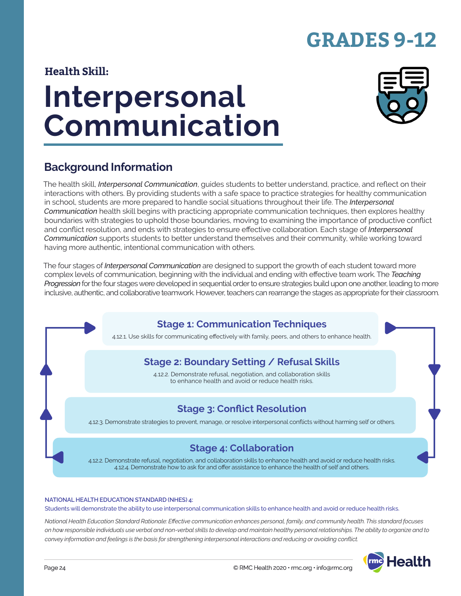# **GRADES 9-12**

### **Health Skill:**

# **Interpersonal Communication**



### **Background Information**

The health skill, *Interpersonal Communication*, guides students to better understand, practice, and reflect on their interactions with others. By providing students with a safe space to practice strategies for healthy communication in school, students are more prepared to handle social situations throughout their life. The *Interpersonal Communication* health skill begins with practicing appropriate communication techniques, then explores healthy boundaries with strategies to uphold those boundaries, moving to examining the importance of productive conflict and conflict resolution, and ends with strategies to ensure effective collaboration. Each stage of *Interpersonal Communication* supports students to better understand themselves and their community, while working toward having more authentic, intentional communication with others.

The four stages of *Interpersonal Communication* are designed to support the growth of each student toward more complex levels of communication, beginning with the individual and ending with effective team work. The *Teaching Progression* for the four stages were developed in sequential order to ensure strategies build upon one another, leading to more inclusive, authentic, and collaborative teamwork. However, teachers can rearrange the stages as appropriate for their classroom.

### **Stage 1: Communication Techniques**

4.12.1. Use skills for communicating effectively with family, peers, and others to enhance health.

### **Stage 2: Boundary Setting / Refusal Skills**

4.12.2. Demonstrate refusal, negotiation, and collaboration skills to enhance health and avoid or reduce health risks.

### **Stage 3: Conflict Resolution**

4.12.3. Demonstrate strategies to prevent, manage, or resolve interpersonal conflicts without harming self or others.

### **Stage 4: Collaboration**

4.12.2. Demonstrate refusal, negotiation, and collaboration skills to enhance health and avoid or reduce health risks. 4.12.4. Demonstrate how to ask for and offer assistance to enhance the health of self and others.

#### **NATIONAL HEALTH EDUCATION STANDARD (NHES) 4:**

Students will demonstrate the ability to use interpersonal communication skills to enhance health and avoid or reduce health risks.

*National Health Education Standard Rationale: Effective communication enhances personal, family, and community health. This standard focuses on how responsible individuals use verbal and non-verbal skills to develop and maintain healthy personal relationships. The ability to organize and to convey information and feelings is the basis for strengthening interpersonal interactions and reducing or avoiding conflict.*

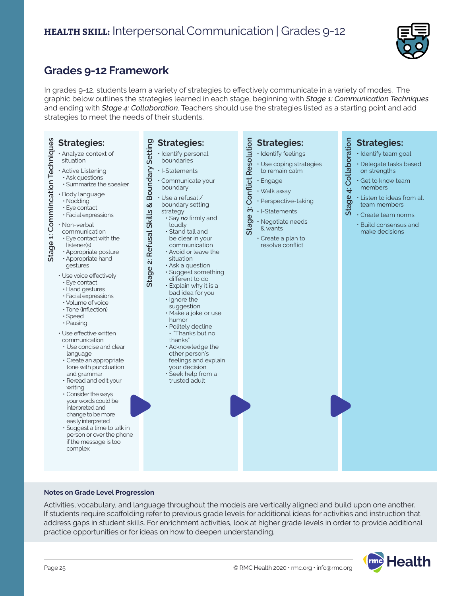

### **Grades 9-12 Framework**

In grades 9-12, students learn a variety of strategies to effectively communicate in a variety of modes. The graphic below outlines the strategies learned in each stage, beginning with *Stage 1: Communication Techniques* and ending with *Stage 4: Collaboration*. Teachers should use the strategies listed as a starting point and add strategies to meet the needs of their students.

| <b>Strategies:</b><br>· Analyze context of<br>situation                                                                                                                                                                                                                                                                                                                                                                                                                                                                                                                                                                                                       | <b>Strategies:</b><br>· Identify personal<br>boundaries                                                                                                                                                                                                                                                                                                                                                                                                                                                                                                                                                                                              | <b>Strategies:</b><br>· Identify feelings                                                                                                                                                                                                                    | <b>Strategies:</b><br>· Identify team goal                                                                                                                                                                        |
|---------------------------------------------------------------------------------------------------------------------------------------------------------------------------------------------------------------------------------------------------------------------------------------------------------------------------------------------------------------------------------------------------------------------------------------------------------------------------------------------------------------------------------------------------------------------------------------------------------------------------------------------------------------|------------------------------------------------------------------------------------------------------------------------------------------------------------------------------------------------------------------------------------------------------------------------------------------------------------------------------------------------------------------------------------------------------------------------------------------------------------------------------------------------------------------------------------------------------------------------------------------------------------------------------------------------------|--------------------------------------------------------------------------------------------------------------------------------------------------------------------------------------------------------------------------------------------------------------|-------------------------------------------------------------------------------------------------------------------------------------------------------------------------------------------------------------------|
| Stage 1: Commincation Techniques<br>· Active Listening<br>· Ask questions<br>· Summarize the speaker<br>· Body language<br>· Nodding<br>· Eye contact<br>· Facial expressions<br>· Non-verbal<br>communication<br>• Eye contact with the<br>listener(s)<br>· Appropriate posture<br>· Appropriate hand<br>gestures<br>· Use voice effectively<br>· Eye contact<br>· Hand gestures<br>· Facial expressions<br>· Volume of voice<br>· Tone (inflection)<br>· Speed<br>· Pausing<br>· Use effective written<br>communication<br>• Use concise and clear<br>language<br>· Create an appropriate<br>tone with punctuation<br>and grammar<br>· Reread and edit your | Boundary Setting<br>· I-Statements<br>· Communicate your<br>boundary<br>$\cdot$ Use a refusal /<br>Refusal Skills &<br>boundary setting<br>strategy<br>· Say no firmly and<br>loudly<br>· Stand tall and<br>be clear in your<br>communication<br>• Avoid or leave the<br>situation<br>Stage 2:<br>· Ask a question<br>· Suggest something<br>different to do<br>· Explain why it is a<br>bad idea for you<br>· Ignore the<br>suggestion<br>· Make a joke or use<br>humor<br>· Politely decline<br>- "Thanks but no<br>thanks"<br>· Acknowledge the<br>other person's<br>feelings and explain<br>your decision<br>· Seek help from a<br>trusted adult | <b>Conflict Resolution</b><br>· Use coping strategies<br>to remain calm<br>· Engage<br>· Walk away<br>· Perspective-taking<br>$\ddot{\mathbf{c}}$<br>· I-Statements<br>Stage<br>· Negotiate needs<br>& wants<br>$\cdot$ Create a plan to<br>resolve conflict | Stage 4: Collaboration<br>· Delegate tasks based<br>on strengths<br>· Get to know team<br>members<br>· Listen to ideas from all<br>team members<br>· Create team norms<br>• Build consensus and<br>make decisions |
| writing<br>• Consider the ways<br>your words could be<br>interpreted and<br>change to be more<br>easily interpreted<br>· Suggest a time to talk in<br>person or over the phone<br>if the message is too<br>complex                                                                                                                                                                                                                                                                                                                                                                                                                                            |                                                                                                                                                                                                                                                                                                                                                                                                                                                                                                                                                                                                                                                      |                                                                                                                                                                                                                                                              |                                                                                                                                                                                                                   |

#### **Notes on Grade Level Progression**

Activities, vocabulary, and language throughout the models are vertically aligned and build upon one another. If students require scaffolding refer to previous grade levels for additional ideas for activities and instruction that address gaps in student skills. For enrichment activities, look at higher grade levels in order to provide additional practice opportunities or for ideas on how to deepen understanding.

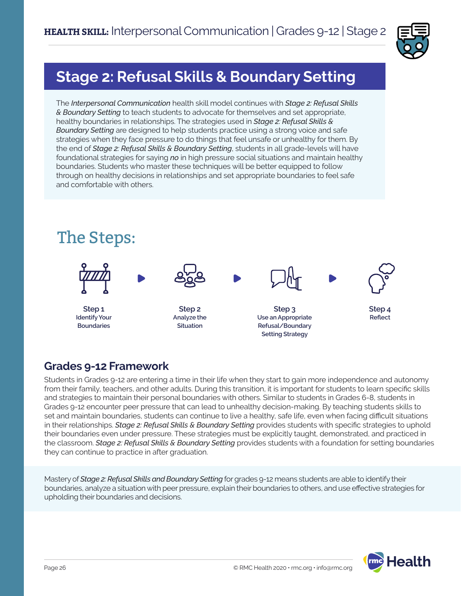

# **Stage 2: Refusal Skills & Boundary Setting**

The *Interpersonal Communication* health skill model continues with *Stage 2: Refusal Skills & Boundary Setting* to teach students to advocate for themselves and set appropriate, healthy boundaries in relationships. The strategies used in *Stage 2: Refusal Skills & Boundary Setting* are designed to help students practice using a strong voice and safe strategies when they face pressure to do things that feel unsafe or unhealthy for them. By the end of *Stage 2: Refusal Skills & Boundary Setting*, students in all grade-levels will have foundational strategies for saying *no* in high pressure social situations and maintain healthy boundaries. Students who master these techniques will be better equipped to follow through on healthy decisions in relationships and set appropriate boundaries to feel safe and comfortable with others.



### **Grades 9-12 Framework**

Students in Grades 9-12 are entering a time in their life when they start to gain more independence and autonomy from their family, teachers, and other adults. During this transition, it is important for students to learn specific skills and strategies to maintain their personal boundaries with others. Similar to students in Grades 6-8, students in Grades 9-12 encounter peer pressure that can lead to unhealthy decision-making. By teaching students skills to set and maintain boundaries, students can continue to live a healthy, safe life, even when facing difficult situations in their relationships. *Stage 2: Refusal Skills & Boundary Setting* provides students with specific strategies to uphold their boundaries even under pressure. These strategies must be explicitly taught, demonstrated, and practiced in the classroom. *Stage 2: Refusal Skills & Boundary Setting* provides students with a foundation for setting boundaries they can continue to practice in after graduation.

Mastery of *Stage 2: Refusal Skills and Boundary Setting* for grades 9-12 means students are able to identify their boundaries, analyze a situation with peer pressure, explain their boundaries to others, and use effective strategies for upholding their boundaries and decisions.

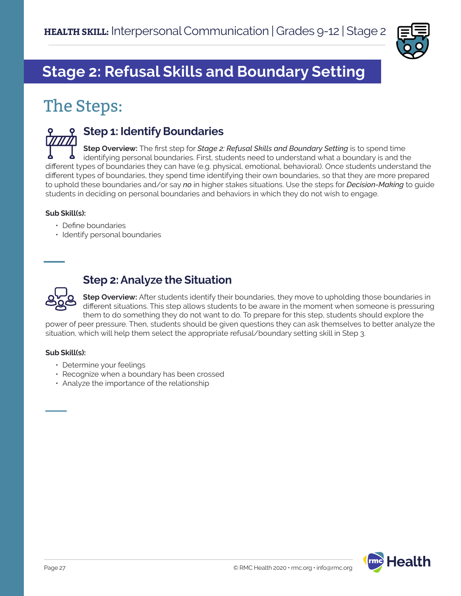

# **Stage 2: Refusal Skills and Boundary Setting**

# The Steps:



### **Step 1: Identify Boundaries**

**Step Overview:** The first step for *Stage 2: Refusal Skills and Boundary Setting* is to spend time identifying personal boundaries. First, students need to understand what a boundary is and the different types of boundaries they can have (e.g. physical, emotional, behavioral). Once students understand the different types of boundaries, they spend time identifying their own boundaries, so that they are more prepared to uphold these boundaries and/or say *no* in higher stakes situations. Use the steps for *Decision-Making* to guide students in deciding on personal boundaries and behaviors in which they do not wish to engage.

### **Sub Skill(s):**

- Define boundaries
- Identify personal boundaries



### **Step 2: Analyze the Situation**

**Step Overview:** After students identify their boundaries, they move to upholding those boundaries in different situations. This step allows students to be aware in the moment when someone is pressuring them to do something they do not want to do. To prepare for this step, students should explore the

power of peer pressure. Then, students should be given questions they can ask themselves to better analyze the situation, which will help them select the appropriate refusal/boundary setting skill in Step 3.

#### **Sub Skill(s):**

- Determine your feelings
- Recognize when a boundary has been crossed
- Analyze the importance of the relationship

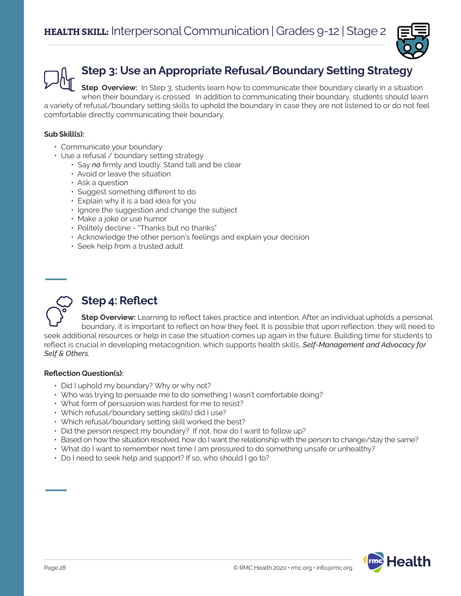

## **Step 3: Use an Appropriate Refusal/Boundary Setting Strategy**

**Step Overview:** In Step 3, students learn how to communicate their boundary clearly in a situation when their boundary is crossed. In addition to communicating their boundary, students should learn a variety of refusal/boundary setting skills to uphold the boundary in case they are not listened to or do not feel comfortable directly communicating their boundary.

#### **Sub Skill(s):**

- Communicate your boundary
- Use a refusal / boundary setting strategy
	- Say *no* firmly and loudly. Stand tall and be clear
	- Avoid or leave the situation
	- Ask a question
	- Suggest something different to do
	- Explain why it is a bad idea for you
	- Ignore the suggestion and change the subject
	- Make a joke or use humor
	- Politely decline "Thanks but no thanks"
	- Acknowledge the other person's feelings and explain your decision
	- Seek help from a trusted adult



### **Step 4: Reflect**

**Step Overview:** Learning to reflect takes practice and intention. After an individual upholds a personal boundary, it is important to reflect on how they feel. It is possible that upon reflection, they will need to seek additional resources or help in case the situation comes up again in the future. Building time for students to reflect is crucial in developing metacognition, which supports health skills, *Self-Management and Advocacy for Self & Others.*

#### **Reflection Question(s):**

- Did I uphold my boundary? Why or why not?
- Who was trying to persuade me to do something I wasn't comfortable doing?
- What form of persuasion was hardest for me to resist?
- Which refusal/boundary setting skill(s) did I use?
- Which refusal/boundary setting skill worked the best?
- Did the person respect my boundary? If not, how do I want to follow up?
- Based on how the situation resolved, how do I want the relationship with the person to change/stay the same?
- What do I want to remember next time I am pressured to do something unsafe or unhealthy?
- Do I need to seek help and support? If so, who should I go to?